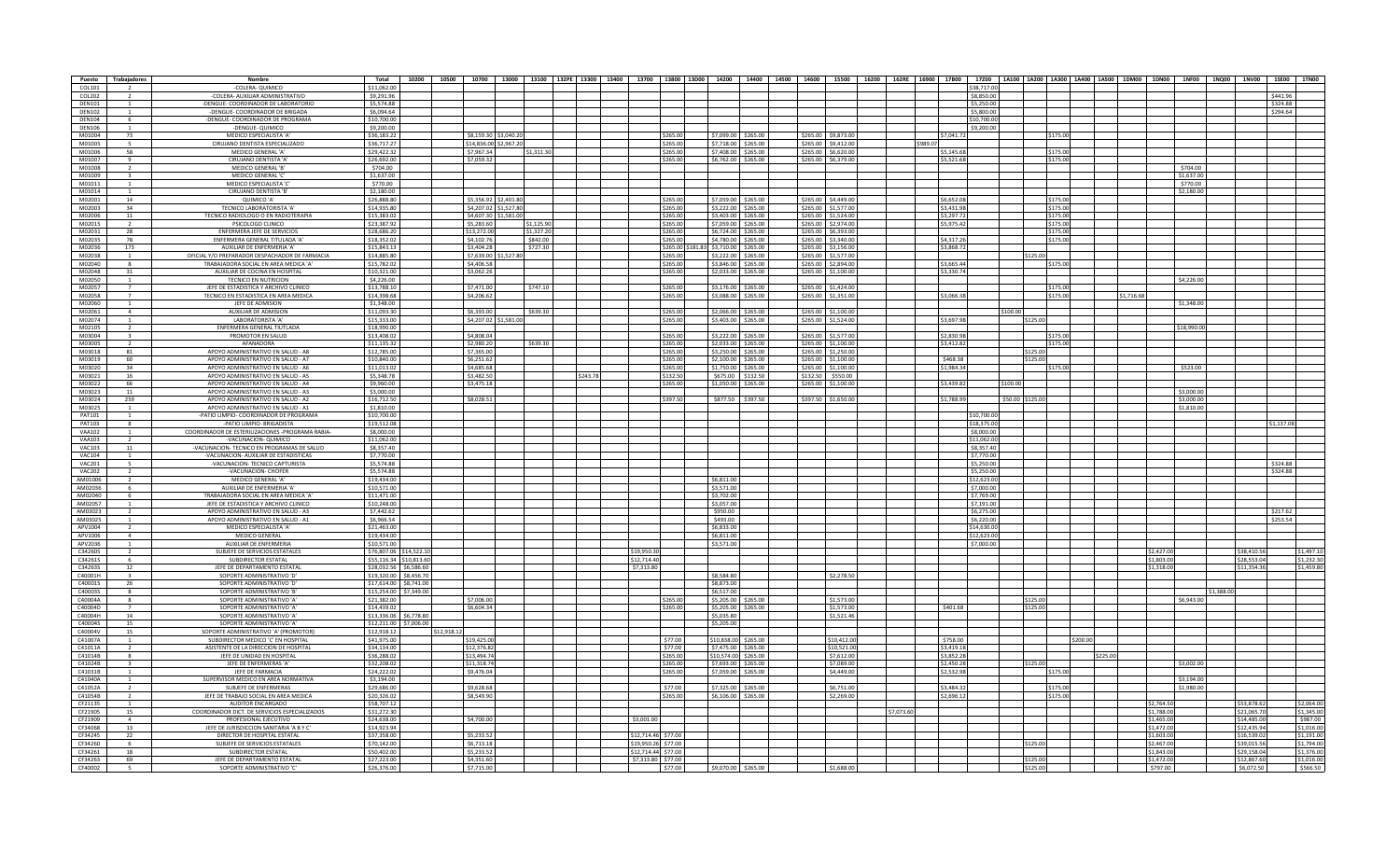| Puesto        | Trabajadores             | Nombre                                           | Total       |                         | 10200   10500   10700   13000   13100   132PE   13300   13400   13700   13800   13800   13800   14200   14200   14600   15500   16200   16200   17800   17800   14200   14200   14200   14300   14400   14400   1000   1000 |            |          |                     |                   |                      |          |                        |            |          |             |                  |          |            |            |             |             |            |
|---------------|--------------------------|--------------------------------------------------|-------------|-------------------------|-----------------------------------------------------------------------------------------------------------------------------------------------------------------------------------------------------------------------------|------------|----------|---------------------|-------------------|----------------------|----------|------------------------|------------|----------|-------------|------------------|----------|------------|------------|-------------|-------------|------------|
| COL101        |                          | -COLERA- QUIMICO                                 | \$11,062.00 |                         |                                                                                                                                                                                                                             |            |          |                     |                   |                      |          |                        |            |          | \$38,717.00 |                  |          |            |            |             |             |            |
| COL202        |                          | -COLERA- AUXILIAR ADMINISTRATIVO                 | \$9,291.96  |                         |                                                                                                                                                                                                                             |            |          |                     |                   |                      |          |                        |            |          | \$8,850.00  |                  |          |            |            |             |             | \$441.96   |
| <b>DEN101</b> |                          | -DENGUE- COORDINADOR DE LABORATORIO              | \$5,574.88  |                         |                                                                                                                                                                                                                             |            |          |                     |                   |                      |          |                        |            |          | \$5,250.00  |                  |          |            |            |             |             | \$324.88   |
| <b>DEN102</b> |                          | -DENGUE- COORDINADOR DE BRIGADA                  | \$6,094.64  |                         |                                                                                                                                                                                                                             |            |          |                     |                   |                      |          |                        |            |          | \$5,800.00  |                  |          |            |            |             |             | \$294.64   |
| <b>DEN104</b> | - 6                      | -DENGUE- COORDINADOR DE PROGRAMA                 | \$10,700.00 |                         |                                                                                                                                                                                                                             |            |          |                     |                   |                      |          |                        |            |          | \$10,700.00 |                  |          |            |            |             |             |            |
| <b>DEN106</b> |                          | -DENGUE- QUIMICO                                 | \$9,200.00  |                         |                                                                                                                                                                                                                             |            |          |                     |                   |                      |          |                        |            |          | \$9,200.00  |                  |          |            |            |             |             |            |
| M01004        | 73                       | MEDICO ESPECIALISTA 'A'                          | \$36,183,22 |                         | \$8,159.30 \$3,040.20                                                                                                                                                                                                       |            |          |                     | \$265.00          | \$7,099.00 \$265.00  |          | \$265.00 \$9,873.00    |            |          | \$7,041.72  |                  | \$175.00 |            |            |             |             |            |
| M01005        | - 5                      | CIRUJANO DENTISTA ESPECIALIZADO                  | \$36,717.27 |                         | \$14,836.00 \$2,967.20                                                                                                                                                                                                      |            |          |                     | \$265.00          | \$7,718.00 \$265.00  |          | \$265.00 \$9.412.00    |            | \$989.07 |             |                  |          |            |            |             |             |            |
| M01006        | 58                       | MEDICO GENERAL 'A'                               | \$29,422.32 |                         | \$7,967.34                                                                                                                                                                                                                  | \$1,311.30 |          |                     | \$265.00          | \$7,408.00 \$265.00  |          | \$265.00 \$6,620.00    |            |          | \$5,145.68  |                  | \$175.00 |            |            |             |             |            |
| M01007        | $\alpha$                 | CIRUIANO DENTISTA 'A'                            | \$26,692.00 |                         | \$7.059.32                                                                                                                                                                                                                  |            |          |                     | \$265.00          | \$6,762.00 \$265.00  |          | \$265.00 \$6.379.00    |            |          | \$5,521.68  |                  | \$175.00 |            |            |             |             |            |
| M01008        |                          | MEDICO GENERAL 'B'                               | \$704.00    |                         |                                                                                                                                                                                                                             |            |          |                     |                   |                      |          |                        |            |          |             |                  |          |            |            | \$704.00    |             |            |
| M01009        | $\mathbf{R}$             | MEDICO GENERAL 'C'                               | \$1,637.00  |                         |                                                                                                                                                                                                                             |            |          |                     |                   |                      |          |                        |            |          |             |                  |          |            |            | \$1,637.00  |             |            |
| M01011        |                          | MEDICO ESPECIALISTA 'C                           | \$770.00    |                         |                                                                                                                                                                                                                             |            |          |                     |                   |                      |          |                        |            |          |             |                  |          |            |            | \$770.00    |             |            |
| M01014        |                          | CIRUJANO DENTISTA 'B'                            | \$2,180.00  |                         |                                                                                                                                                                                                                             |            |          |                     |                   |                      |          |                        |            |          |             |                  |          |            |            | \$2,180.00  |             |            |
| M02001        | 14                       | QUIMICO 'A'                                      | \$26,888.80 |                         | \$5,356.92 \$2,401.80                                                                                                                                                                                                       |            |          |                     | \$265.00          | \$7,059.00 \$265.00  |          | \$265.00 \$4,449.00    |            |          | \$6,652.08  |                  | \$175.00 |            |            |             |             |            |
| M02003        | 34                       | TECNICO LABORATORISTA 'A                         | \$14,935.80 |                         | \$4,207.02 \$1,527.80                                                                                                                                                                                                       |            |          |                     | \$265.00          | \$3,222.00 \$265.00  |          | \$265.00 \$1,577.00    |            |          | \$3,431.98  |                  | \$175.00 |            |            |             |             |            |
| M02006        | 11                       | TECNICO RADIOLOGO O EN RADIOTERAPIA              | \$15,383.02 |                         | \$4,607.30 \$1,581.00                                                                                                                                                                                                       |            |          |                     | \$265.00          | \$3,403.00           | \$265.00 | \$265.00 \$1,524.00    |            |          | \$3,297.72  |                  | \$175.00 |            |            |             |             |            |
| M02015        |                          | PSICOLOGO CLINICO                                | \$23,387.92 |                         | \$5,283.60                                                                                                                                                                                                                  | \$1.125.90 |          |                     | \$265.00          | \$7,059.00           | \$265.00 | \$265.00 \$2,974.00    |            |          | \$5,975.42  |                  | \$175.00 |            |            |             |             |            |
| M02031        | 28                       | ENFERMERA JEFE DE SERVICIOS                      | \$28,686.20 |                         | \$13,272.00                                                                                                                                                                                                                 | \$1.327.20 |          |                     | \$265.00          | \$6,724.00           | \$265.00 | \$265.00 \$6.393.00    |            |          |             |                  | \$175.00 |            |            |             |             |            |
| M02035        | 78                       | ENFERMERA GENERAL TITULADA 'A                    | \$18,352.02 |                         | \$4,102.76                                                                                                                                                                                                                  | \$842.00   |          |                     | \$265.00          | \$4,780.00           | \$265.00 | \$265.00 \$3,340.00    |            |          | \$4,317.26  |                  | \$175.00 |            |            |             |             |            |
| M02036        | 173                      | AUXILIAR DE ENFERMERIA 'A'                       | \$15,843.13 |                         | \$3,404.28                                                                                                                                                                                                                  | \$727.30   |          |                     | \$265.00 \$181.83 | \$3,710.00 \$265.00  |          | \$265.00 \$3.156.00    |            |          | \$3,868.72  |                  |          |            |            |             |             |            |
| M02038        |                          | OFICIAL Y/O PREPARADOR DESPACHADOR DE FARMACIA   | \$14,885.80 |                         | \$7,639.00 \$1,527.80                                                                                                                                                                                                       |            |          |                     | \$265.00          | \$3,222.00 \$265.00  |          | \$265.00 \$1,577.00    |            |          |             | \$125.00         |          |            |            |             |             |            |
| M02040        |                          | TRABAJADORA SOCIAL EN AREA MEDICA 'A'            | \$15,782.02 |                         | \$4,406.58                                                                                                                                                                                                                  |            |          |                     | \$265.00          | \$3,846.00           | \$265.00 | \$265.00<br>\$2,894.00 |            |          | \$3,665.44  |                  | \$175.00 |            |            |             |             |            |
| M02048        | 31                       | AUXILIAR DE COCINA EN HOSPITAL                   | \$10.321.00 |                         | \$3,062.26                                                                                                                                                                                                                  |            |          |                     | \$265.00          | \$2,033,00 \$265,00  |          | \$265,00 \$1,100,00    |            |          | \$3,330.74  |                  |          |            |            |             |             |            |
| M02050        |                          | TECNICO EN NUTRICION                             | \$4,226.00  |                         |                                                                                                                                                                                                                             |            |          |                     |                   |                      |          |                        |            |          |             |                  |          |            |            | \$4,226.00  |             |            |
| M02057        |                          | JEFE DE ESTADISTICA Y ARCHIVO CLINICO            | \$13,788.10 |                         | \$7,471.00                                                                                                                                                                                                                  | \$747.10   |          |                     | \$265.00          | \$3.176.00 \$265.00  |          | \$265.00 \$1.424.00    |            |          |             |                  | \$175.00 |            |            |             |             |            |
| M02058        | $\overline{7}$           | TECNICO EN ESTADISTICA EN AREA MEDICA            | \$14,398.68 |                         | \$4,206.62                                                                                                                                                                                                                  |            |          |                     | \$265.00          | \$3,088,00           | \$265.00 | \$265.00<br>\$1,351.00 |            |          | \$3,066.38  |                  | \$175.00 | \$1,716.68 |            |             |             |            |
| M02060        |                          | JEFE DE ADMISION                                 | \$1,348.00  |                         |                                                                                                                                                                                                                             |            |          |                     |                   |                      |          |                        |            |          |             |                  |          |            |            | \$1,348.00  |             |            |
| M02061        | $\overline{A}$           | AUXILIAR DE ADMISION                             | \$11,093.30 |                         | \$6,393,00                                                                                                                                                                                                                  | \$639.30   |          |                     | \$265.00          | $0.0255$ 0.0.880.52  |          | \$265.00 \$1,100.00    |            |          |             | \$100.00         |          |            |            |             |             |            |
| M02074        |                          | LABORATORISTA 'A                                 | \$15,333.00 |                         | \$4,207.02 \$1,581.00                                                                                                                                                                                                       |            |          |                     | \$265.00          | \$3,403.00           | \$265.00 | \$265.00<br>\$1,524.00 |            |          | \$3,697.98  | \$125.00         |          |            |            |             |             |            |
| M02105        | $\overline{2}$           | ENFERMERA GENERAL TIUTLADA                       | \$18,990.00 |                         |                                                                                                                                                                                                                             |            |          |                     |                   |                      |          |                        |            |          |             |                  |          |            |            | \$18,990.00 |             |            |
| M03004        | $\mathbf{a}$             | PROMOTOR EN SALUD                                | \$13,408.02 |                         | \$4,808.04                                                                                                                                                                                                                  |            |          |                     | \$265.00          | \$3,222.00 \$265.00  |          | \$265.00 \$1,577.0     |            |          | \$2,830.98  |                  | \$175.00 |            |            |             |             |            |
| M03005        |                          | AFANADORA                                        | \$11.135.32 |                         | \$2,980.20                                                                                                                                                                                                                  | \$639.30   |          |                     | \$265.00          | \$2,033,00           | \$265.00 | \$265.00 \$1,100.00    |            |          | \$3,412.82  |                  | \$175.00 |            |            |             |             |            |
| M03018        | 81                       | APOYO ADMINISTRATIVO EN SALUD - A8               | \$12,785.00 |                         | \$7,365.00                                                                                                                                                                                                                  |            |          |                     | \$265.00          | \$3,250.00           | \$265.00 | \$265.00<br>\$1,250.00 |            |          |             | \$125.00         |          |            |            |             |             |            |
| M03019        | 60                       | APOYO ADMINISTRATIVO EN SALUD - A7               | \$10,840.00 |                         | \$6,251.62                                                                                                                                                                                                                  |            |          |                     | \$265.00          | \$2,100.00 \$265.00  |          | \$265.00 \$1,100.00    |            |          | \$468.38    | \$125.00         |          |            |            |             |             |            |
| M03020        | 34                       | APOYO ADMINISTRATIVO EN SALUD - A6               | \$11,013.02 |                         | \$4,685.68                                                                                                                                                                                                                  |            |          |                     | \$265.00          | \$1,750.00 \$265.00  |          | \$265.00 \$1,100.00    |            |          | \$1,984.34  |                  | \$175.00 |            |            | \$523.00    |             |            |
| M03021        | 16                       | APOYO ADMINISTRATIVO EN SALUD - A5               | \$5,348.78  |                         | \$3,482.50                                                                                                                                                                                                                  |            | \$243.78 |                     | \$132.50          | \$675.00             | \$132.50 | \$132.50<br>\$550.00   |            |          |             |                  |          |            |            |             |             |            |
| M03022        | 66                       | APOYO ADMINISTRATIVO EN SALUD - A4               | \$9,960.00  |                         | \$3,475.18                                                                                                                                                                                                                  |            |          |                     | \$265.00          | \$1,050.00           | \$265.00 | \$265.00 \$1,100.00    |            |          | \$3,439.82  | \$100.00         |          |            |            |             |             |            |
| M03023        | 11                       | APOYO ADMINISTRATIVO EN SALUD - A3               | \$3,000.00  |                         |                                                                                                                                                                                                                             |            |          |                     |                   |                      |          |                        |            |          |             |                  |          |            |            | \$3,000.00  |             |            |
| M03024        | 259                      | APOYO ADMINISTRATIVO EN SALUD - A2               | \$16,712.50 |                         | \$8.028.51                                                                                                                                                                                                                  |            |          |                     | \$397.50          | \$877.50             | \$397.50 | \$397.50<br>\$1,650.00 |            |          | \$1,788.99  | \$50.00 \$125.00 |          |            |            | \$3,000.00  |             |            |
| M03025        |                          | APOYO ADMINISTRATIVO EN SALUD - A1               | \$1,810.00  |                         |                                                                                                                                                                                                                             |            |          |                     |                   |                      |          |                        |            |          |             |                  |          |            |            | \$1,810.00  |             |            |
| PAT101        |                          | PATIO LIMPIO- COORDINADOR DE PROGRAMA            | \$10,700.00 |                         |                                                                                                                                                                                                                             |            |          |                     |                   |                      |          |                        |            |          | \$10,700.00 |                  |          |            |            |             |             |            |
| PAT103        | $\mathbf{R}$             | -PATIO LIMPIO- BRIGADISTA                        | \$19,512.08 |                         |                                                                                                                                                                                                                             |            |          |                     |                   |                      |          |                        |            |          | \$18,375.00 |                  |          |            |            |             |             | \$1.137.08 |
| <b>VAA102</b> |                          | COORDINADOR DE ESTERILIZACIONES -PROGRAMA RABIA- | \$8,000.00  |                         |                                                                                                                                                                                                                             |            |          |                     |                   |                      |          |                        |            |          | \$8,000.00  |                  |          |            |            |             |             |            |
| VAA103        | $\overline{2}$           | -VACUNACION- OUIMICO                             | \$11,062.00 |                         |                                                                                                                                                                                                                             |            |          |                     |                   |                      |          |                        |            |          | \$11.062.00 |                  |          |            |            |             |             |            |
| <b>VAC103</b> | 11                       | -VACUNACION- TECNICO EN PROGRAMAS DE SALUD       | \$8,357.40  |                         |                                                                                                                                                                                                                             |            |          |                     |                   |                      |          |                        |            |          | \$8,357.40  |                  |          |            |            |             |             |            |
| VAC104        |                          | -VACUNACION- AUXILIAR DE ESTADISTICAS            | \$7,770.00  |                         |                                                                                                                                                                                                                             |            |          |                     |                   |                      |          |                        |            |          | \$7,770.00  |                  |          |            |            |             |             |            |
| <b>VAC201</b> | $\overline{a}$           | -VACUNACION- TECNICO CAPTURISTA                  | \$5,574.88  |                         |                                                                                                                                                                                                                             |            |          |                     |                   |                      |          |                        |            |          | \$5,250.00  |                  |          |            |            |             |             | \$324.88   |
| <b>VAC202</b> |                          | -VACUNACION- CHOFER                              | \$5,574.88  |                         |                                                                                                                                                                                                                             |            |          |                     |                   |                      |          |                        |            |          | \$5,250.00  |                  |          |            |            |             |             | \$324.88   |
| AM01006       |                          | MEDICO GENERAL 'A'                               | \$19,434.00 |                         |                                                                                                                                                                                                                             |            |          |                     |                   | \$6,811.00           |          |                        |            |          | \$12,623.00 |                  |          |            |            |             |             |            |
| AM02036       |                          | AUXILIAR DE ENFERMERIA 'A                        | \$10,571.00 |                         |                                                                                                                                                                                                                             |            |          |                     |                   | \$3,571.00           |          |                        |            |          | \$7,000.00  |                  |          |            |            |             |             |            |
| AM02040       | - 6                      | TRABAJADORA SOCIAL EN AREA MEDICA 'A'            | \$11,471.00 |                         |                                                                                                                                                                                                                             |            |          |                     |                   | \$3,702.00           |          |                        |            |          | \$7,769.00  |                  |          |            |            |             |             |            |
| AM02057       |                          | JEFE DE ESTADISTICA Y ARCHIVO CLINICO            | \$10,248.00 |                         |                                                                                                                                                                                                                             |            |          |                     |                   | \$3,057.00           |          |                        |            |          | \$7,191.00  |                  |          |            |            |             |             |            |
| AM03023       |                          | APOYO ADMINISTRATIVO EN SALUD - A3               | \$7,442.62  |                         |                                                                                                                                                                                                                             |            |          |                     |                   | \$950.00             |          |                        |            |          | \$6,275.00  |                  |          |            |            |             |             | \$217.62   |
| AM03025       |                          | APOYO ADMINISTRATIVO EN SALUD - A1               | \$6,966.54  |                         |                                                                                                                                                                                                                             |            |          |                     |                   | \$493.00             |          |                        |            |          | \$6,220,00  |                  |          |            |            |             |             | \$253.54   |
| APV1004       | $\overline{2}$           | MEDICO ESPECIALISTA 'A'                          | \$21,463.00 |                         |                                                                                                                                                                                                                             |            |          |                     |                   | \$6,833.00           |          |                        |            |          | \$14,630.00 |                  |          |            |            |             |             |            |
| APV1006       | $\overline{a}$           | <b>MEDICO GENERAL</b>                            | \$19,434.00 |                         |                                                                                                                                                                                                                             |            |          |                     |                   | \$6,811.00           |          |                        |            |          | \$12,623.00 |                  |          |            |            |             |             |            |
| APV2036       |                          | AUXILIAR DE ENFERMERIA                           | \$10,571.00 |                         |                                                                                                                                                                                                                             |            |          |                     |                   | \$3,571.00           |          |                        |            |          | \$7,000.00  |                  |          |            |            |             |             |            |
| C34260S       | $\overline{2}$           | SUBJEEF DE SERVICIOS ESTATALES                   |             | \$76,807.06 \$14.522.10 |                                                                                                                                                                                                                             |            |          | \$19,950.30         |                   |                      |          |                        |            |          |             |                  |          |            | \$2,427.00 |             | \$38,410.56 | \$1,497.10 |
| C34261S       | - 6                      | SUBDIRECTOR ESTATAL                              |             | \$55,116.34 \$10,813.60 |                                                                                                                                                                                                                             |            |          | \$12,714.40         |                   |                      |          |                        |            |          |             |                  |          |            | \$1,803.00 |             | \$28,553.04 | \$1,232.30 |
| C34263S       | 12                       | JEFE DE DEPARTAMENTO ESTATAI                     |             | \$28,032.56 \$6.586.60  |                                                                                                                                                                                                                             |            |          | \$7,313.80          |                   |                      |          |                        |            |          |             |                  |          |            | \$1,318.00 |             | \$11,354.36 | \$1,459.80 |
| C40001H       | $\overline{a}$           | SOPORTE ADMINISTRATIVO 'D                        |             | \$19,320.00 \$8,456.70  |                                                                                                                                                                                                                             |            |          |                     |                   | \$8,584.80           |          | \$2,278.50             |            |          |             |                  |          |            |            |             |             |            |
| C40001S       | 26                       | SOPORTE ADMINISTRATIVO 'D'                       |             | \$17,614.00 \$8,741.00  |                                                                                                                                                                                                                             |            |          |                     |                   | \$8,873.00           |          |                        |            |          |             |                  |          |            |            |             |             |            |
| C40003S       | $\mathbf{R}$             | SOPORTE ADMINISTRATIVO 'B'                       |             | \$15,254.00 \$7,349.00  |                                                                                                                                                                                                                             |            |          |                     |                   | \$6,517.00           |          |                        |            |          |             |                  |          |            |            | \$1,388.0   |             |            |
| C40004A       |                          | SOPORTE ADMINISTRATIVO 'A                        | \$21.382.0  |                         | \$7,006.00                                                                                                                                                                                                                  |            |          |                     | \$265.00          | \$5,205.00           | \$265.00 | \$1,573.00             |            |          |             | \$125.00         |          |            |            | \$6,943.00  |             |            |
| C40004D       |                          | SOPORTE ADMINISTRATIVO 'A'                       | \$14,439.02 |                         | \$6,604.34                                                                                                                                                                                                                  |            |          |                     | \$265.00          | \$5,205,00 \$265,00  |          | \$1,573.00             |            |          | \$401.68    | \$125.00         |          |            |            |             |             |            |
| C40004H       | 14                       | SOPORTE ADMINISTRATIVO 'A'                       |             | \$13,336.06 \$6,778.80  |                                                                                                                                                                                                                             |            |          |                     |                   | \$5,035.80           |          | \$1,521.46             |            |          |             |                  |          |            |            |             |             |            |
| C40004S       | 15                       | SOPORTE ADMINISTRATIVO 'A'                       |             | \$12,211.00 \$7,006.00  |                                                                                                                                                                                                                             |            |          |                     |                   | \$5,205.00           |          |                        |            |          |             |                  |          |            |            |             |             |            |
| C40004V       | 15                       | SOPORTE ADMINISTRATIVO 'A' (PROMOTOR             | \$12,918.12 |                         | \$12,918.1                                                                                                                                                                                                                  |            |          |                     |                   |                      |          |                        |            |          |             |                  |          |            |            |             |             |            |
| C41007A       |                          | SUBDIRECTOR MEDICO 'C' EN HOSPITAL               | \$41,975.00 |                         | \$19,425.00                                                                                                                                                                                                                 |            |          |                     | \$77.00           | \$10,838.00 \$265.00 |          | \$10,412.00            |            |          | \$758.00    |                  | \$200.00 |            |            |             |             |            |
| C41011A       | $\overline{\phantom{a}}$ | ASISTENTE DE LA DIRECCIÓN DE HOSPITAL            | \$34.134.00 |                         | \$12,376.82                                                                                                                                                                                                                 |            |          |                     | \$77.00           | \$7,475,00 \$265,00  |          | \$10,521.00            |            |          | \$3,419.18  |                  |          |            |            |             |             |            |
| C41014B       |                          | JEFE DE UNIDAD EN HOSPITAL                       | \$36,288.02 |                         | \$13,494.74                                                                                                                                                                                                                 |            |          |                     | \$265.00          | 10,574.00            | \$265.00 | \$7,612.00             |            |          | \$3,852.28  |                  |          | \$225.0    |            |             |             |            |
| C41024B       |                          | IFFF DE ENFERMERAS 'A'                           | \$32,208.02 |                         | \$11,318.74                                                                                                                                                                                                                 |            |          |                     | \$265.00          | \$7,693,00 \$265.00  |          | \$7,089.00             |            |          | \$2,450.28  | \$125.00         |          |            |            | \$3,002.00  |             |            |
| C41031B       |                          | JEFE DE FARMACIA                                 | \$24,222.02 |                         | \$9,476.04                                                                                                                                                                                                                  |            |          |                     | \$265.00          | \$7,059.00 \$265.00  |          | \$4,449.00             |            |          | \$2,532.98  |                  | \$175.00 |            |            |             |             |            |
| C41040A       |                          | SUPERVISOR MEDICO EN AREA NORMATIVA              | \$3,194.00  |                         |                                                                                                                                                                                                                             |            |          |                     |                   |                      |          |                        |            |          |             |                  |          |            |            | \$3,194.00  |             |            |
| C41052A       | $\overline{2}$           | SUBJEFE DE ENFERMERAS                            | \$29,686.00 |                         | \$9,628.68                                                                                                                                                                                                                  |            |          |                     | \$77.00           | \$7,325,00 \$265,00  |          | \$6,751.00             |            |          | \$3,484.32  |                  | \$175.00 |            |            | \$1,980.00  |             |            |
| C41054B       |                          | JEFE DE TRABAJO SOCIAL EN AREA MEDICA            | \$20,326.02 |                         | \$8,549.90                                                                                                                                                                                                                  |            |          |                     | \$265.00          | \$6,106.00 \$265.00  |          | \$2,269.00             |            |          | \$2,696.12  |                  | \$175.00 |            |            |             |             |            |
| CF21135       |                          | AUDITOR ENCARGADO                                | \$58,707.12 |                         |                                                                                                                                                                                                                             |            |          |                     |                   |                      |          |                        |            |          |             |                  |          |            | \$2,764.50 |             | \$53,878.62 | \$2,064.00 |
| CF21905       | 15                       | COORDINADOR DICT. DE SERVICIOS ESPECIALIZADOS    | \$31,272.30 |                         |                                                                                                                                                                                                                             |            |          |                     |                   |                      |          |                        | \$7.073.60 |          |             |                  |          |            | \$1,788.00 |             | \$21.065.7  | \$1,345.00 |
| CF21909       | $\overline{a}$           | PROFESIONAL EJECUTIVO                            | \$24,638.00 |                         | \$4,700.00                                                                                                                                                                                                                  |            |          | \$3,001.00          |                   |                      |          |                        |            |          |             |                  |          |            | \$1,465.00 |             | \$14,485.00 | \$987.00   |
| CF34068       | 13                       | JEFE DE JURISDICCION SANITARIA 'A B Y C'         | \$14,923.94 |                         |                                                                                                                                                                                                                             |            |          |                     |                   |                      |          |                        |            |          |             |                  |          |            | \$1,472.00 |             | \$12,435.94 | \$1,016.00 |
| CF34245       | -22                      | DIRECTOR DE HOSPITAL ESTATAL                     | \$37,358.00 |                         | \$5,233.52                                                                                                                                                                                                                  |            |          | \$12,714.46 \$77.00 |                   |                      |          |                        |            |          |             |                  |          |            | \$1.603.00 |             | \$16,539.02 | \$1,191.00 |
| CF34260       |                          | SUBJEFE DE SERVICIOS ESTATALES                   | \$70,142.00 |                         | \$6,713.18                                                                                                                                                                                                                  |            |          | \$19,950.26 \$77.00 |                   |                      |          |                        |            |          |             | \$125.00         |          |            | \$2,467.00 |             | \$39,015.5  | \$1,794.00 |
| CF34261       | 18                       | SUBDIRECTOR ESTATAL                              | \$50,402.00 |                         | \$5,233.52                                                                                                                                                                                                                  |            |          | \$12,714.44 \$77.00 |                   |                      |          |                        |            |          |             |                  |          |            | \$1,843.00 |             | \$29,158.04 | \$1,376.00 |
|               |                          |                                                  |             |                         |                                                                                                                                                                                                                             |            |          |                     |                   |                      |          |                        |            |          |             |                  |          |            |            |             |             |            |
| CF34263       | 69                       | JEFE DE DEPARTAMENTO ESTATAL                     | \$27,223.00 |                         | \$4,351.60                                                                                                                                                                                                                  |            |          | \$7,313.80 \$77.00  |                   |                      |          |                        |            |          |             | \$125.00         |          |            | \$1.472.00 |             | \$12,867.60 | \$1,016.00 |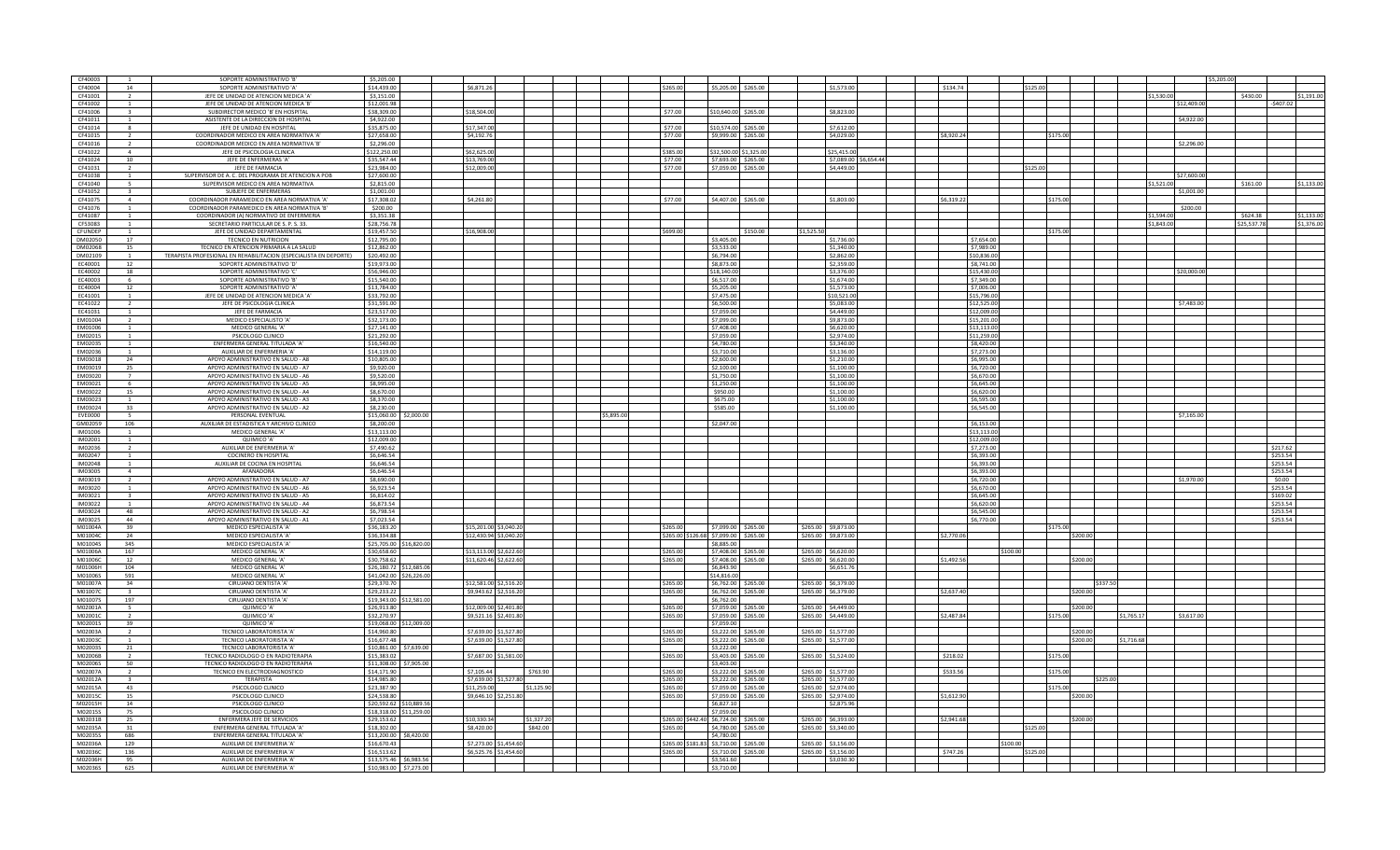| CF40003        |                | SOPORTE ADMINISTRATIVO 'B                                         | \$5,205.00  |                         |                        |            |            |                   |                                       |                      |                        |                        |                       |            |             |          |          |            |            | \$5.205.    |             |            |
|----------------|----------------|-------------------------------------------------------------------|-------------|-------------------------|------------------------|------------|------------|-------------------|---------------------------------------|----------------------|------------------------|------------------------|-----------------------|------------|-------------|----------|----------|------------|------------|-------------|-------------|------------|
| CF40004        | 14             | SOPORTE ADMINISTRATIVO 'A'                                        | \$14,439.00 |                         | \$6,871.26             |            |            | \$265.00          |                                       |                      | \$5,205.00 \$265.00    | \$1,573.00             |                       |            | \$134.74    | \$125.00 |          |            |            |             |             |            |
| CF41001        |                | JEFE DE UNIDAD DE ATENCION MEDICA 'A                              | \$3,151.00  |                         |                        |            |            |                   |                                       |                      |                        |                        |                       |            |             |          |          |            | \$1.530.00 |             | \$430.00    | \$1,191.00 |
| CF41002        |                | JEFE DE UNIDAD DE ATENCION MEDICA 'B                              | \$12,001.9  |                         |                        |            |            |                   |                                       |                      |                        |                        |                       |            |             |          |          |            |            | \$12,409.00 | \$407.02    |            |
| CF41006        |                | SUBDIRECTOR MEDICO 'B' EN HOSPITAL                                | \$38,309.00 |                         | \$18,504.00            |            |            | \$77.00           |                                       | \$10,640.00 \$265.00 |                        | \$8,823.00             |                       |            |             |          |          |            |            |             |             |            |
| CF41011        |                |                                                                   | \$4,922.00  |                         |                        |            |            |                   |                                       |                      |                        |                        |                       |            |             |          |          |            |            | \$4,922.00  |             |            |
|                |                | ASISTENTE DE LA DIRECCION DE HOSPITAL                             |             |                         |                        |            |            |                   |                                       |                      |                        |                        |                       |            |             |          |          |            |            |             |             |            |
| CF41014        |                | JEFE DE UNIDAD EN HOSPITAL                                        | \$35,875.00 |                         | \$17,347.00            |            |            | \$77.00           |                                       | \$10,574.00 \$265.00 |                        | \$7,612.00             |                       |            |             |          |          |            |            |             |             |            |
| CF41015        | $\overline{2}$ | COORDINADOR MEDICO EN AREA NORMATIVA 'A                           | \$27,658.00 |                         | \$4.192.76             |            |            | \$77.00           |                                       | \$9,999.00 \$265.00  |                        | \$4,029.00             |                       | \$8,920.24 |             |          | \$175.00 |            |            |             |             |            |
| CF41016        |                | COORDINADOR MEDICO EN AREA NORMATIVA 'B'                          | \$2,296.00  |                         |                        |            |            |                   |                                       |                      |                        |                        |                       |            |             |          |          |            |            | \$2,296.00  |             |            |
| CF41022        | $\mathbf{A}$   | JEFE DE PSICOLOGIA CLINICA                                        | \$122,250.0 |                         | \$62,625.00            |            |            | \$385.00          |                                       |                      | \$32,500.00 \$1,325.00 | \$25,415.00            |                       |            |             |          |          |            |            |             |             |            |
| CF41024        | 10             | JEFE DE ENFERMERAS 'A'                                            | \$35,547.44 |                         | \$13,769.00            |            |            | \$77.00           |                                       |                      | \$7,693.00 \$265.00    |                        | \$7,089.00 \$6,654.44 |            |             |          |          |            |            |             |             |            |
|                |                |                                                                   |             |                         |                        |            |            |                   |                                       |                      |                        |                        |                       |            |             |          |          |            |            |             |             |            |
| CF41031        |                | JEFE DE FARMACIA                                                  | \$23,984.00 |                         | \$12,009.00            |            |            | \$77.00           |                                       |                      | \$7,059.00 \$265.00    | \$4,449.00             |                       |            |             | \$125.00 |          |            |            |             |             |            |
| CF41038        |                | SUPERVISOR DE A. C. DEL PROGRAMA DE ATENCION A POB                | \$27,600.00 |                         |                        |            |            |                   |                                       |                      |                        |                        |                       |            |             |          |          |            |            | \$27,600.00 |             |            |
| CF41040        |                | SUPERVISOR MEDICO EN AREA NORMATIVA                               | \$2,815.00  |                         |                        |            |            |                   |                                       |                      |                        |                        |                       |            |             |          |          |            | \$1,521.00 |             | \$161.00    | \$1,133.00 |
| CF41052        | $\mathbf{R}$   | SUBJEFE DE ENFERMERAS                                             | \$1,001.00  |                         |                        |            |            |                   |                                       |                      |                        |                        |                       |            |             |          |          |            |            | \$1,001.00  |             |            |
| CF41075        | $\overline{a}$ | COORDINADOR PARAMEDICO EN AREA NORMATIVA 'A'                      | \$17,308.02 |                         | \$4,261.80             |            |            | \$77.00           |                                       | \$4,407.00 \$265.00  |                        | \$1,803.00             |                       | \$6,319.22 |             |          | \$175.00 |            |            |             |             |            |
|                |                |                                                                   |             |                         |                        |            |            |                   |                                       |                      |                        |                        |                       |            |             |          |          |            |            |             |             |            |
| CF41076        |                | COORDINADOR PARAMEDICO EN AREA NORMATIVA 'B'                      | \$200.00    |                         |                        |            |            |                   |                                       |                      |                        |                        |                       |            |             |          |          |            |            | \$200.00    |             |            |
| CF41087        |                | COORDINADOR (A) NORMATIVO DE ENFERMERIA                           | \$3,351.38  |                         |                        |            |            |                   |                                       |                      |                        |                        |                       |            |             |          |          |            | \$1,594.00 |             | \$624.38    | \$1,133.00 |
| CF53083        |                | SECRETARIO PARTICULAR DE S. P. S. 33.                             | \$28,756.78 |                         |                        |            |            |                   |                                       |                      |                        |                        |                       |            |             |          |          |            | \$1,843.00 |             | \$25,537.78 | \$1,376.00 |
| CEUNDEP        |                | JEFE DE UNIDAD DEPARTAMENTAL                                      | \$19,457.50 |                         | \$16,908.00            |            |            | \$699.00          |                                       |                      | \$150.00               | \$1.525.5              |                       |            |             |          | \$175.00 |            |            |             |             |            |
|                |                |                                                                   |             |                         |                        |            |            |                   |                                       |                      |                        |                        |                       |            |             |          |          |            |            |             |             |            |
| DM02050        | 17             | TECNICO EN NUTRICION                                              | \$12,795.00 |                         |                        |            |            |                   |                                       | 3,405.00             |                        | 1,736.00               |                       |            | \$7,654.00  |          |          |            |            |             |             |            |
| DM02068        | 15             | TECNICO EN ATENCION PRIMARIA A LA SALUD                           | \$12,862.00 |                         |                        |            |            |                   |                                       | \$3,533.00           |                        | \$1,340.00             |                       |            | \$7,989.00  |          |          |            |            |             |             |            |
| DM02109        | $\overline{1}$ | TERAPISTA PROFESIONAL EN REHABILITACION (ESPECIALISTA EN DEPORTE) | \$20,492.00 |                         |                        |            |            |                   |                                       | \$6,794.00           |                        | \$2,862.00             |                       |            | \$10,836.00 |          |          |            |            |             |             |            |
| FC40001        | 12             | SOPORTE ADMINISTRATIVO 'D'                                        | \$19,973.00 |                         |                        |            |            |                   |                                       | \$8,873.00           |                        | \$2,359.00             |                       |            | \$8,741.00  |          |          |            |            |             |             |            |
|                |                |                                                                   |             |                         |                        |            |            |                   |                                       |                      |                        |                        |                       |            |             |          |          |            |            | \$20,000.00 |             |            |
| EC40002        | 18             | SOPORTE ADMINISTRATIVO 'O                                         | \$56,946.00 |                         |                        |            |            |                   |                                       | \$18,140.0           |                        | \$3,376.00             |                       |            | \$15,430.00 |          |          |            |            |             |             |            |
| EC40003        |                | SOPORTE ADMINISTRATIVO 'B'                                        | \$15,540.00 |                         |                        |            |            |                   |                                       | \$6,517.00           |                        | \$1,674.00             |                       |            | \$7,349.00  |          |          |            |            |             |             |            |
| <b>EC40004</b> | 12             | SOPORTE ADMINISTRATIVO 'A'                                        | \$13,784.00 |                         |                        |            |            |                   |                                       | \$5,205.00           |                        | \$1,573.00             |                       |            | \$7,006.00  |          |          |            |            |             |             |            |
| EC41001        |                | JEFE DE UNIDAD DE ATENCION MEDICA 'A'                             | \$33,792.00 |                         |                        |            |            |                   |                                       | \$7,475.00           |                        | 10,521.00              |                       |            | \$15,796.00 |          |          |            |            |             |             |            |
| EC41022        | $\overline{2}$ | JEFE DE PSICOLOGIA CLINICA                                        | \$31,591.00 |                         |                        |            |            |                   |                                       | \$6,500.00           |                        | \$5.083.00             |                       |            | \$12,525.00 |          |          |            |            | \$7,483.00  |             |            |
|                |                |                                                                   |             |                         |                        |            |            |                   |                                       |                      |                        |                        |                       |            |             |          |          |            |            |             |             |            |
| EC41031        |                | JEFE DE FARMACIA                                                  | \$23,517.00 |                         |                        |            |            |                   |                                       | \$7,059.00           |                        | \$4,449.00             |                       |            | \$12,009.00 |          |          |            |            |             |             |            |
| EM01004        |                | MEDICO ESPECIALISTO 'A                                            | \$32,173.00 |                         |                        |            |            |                   |                                       | \$7,099.00           |                        | \$9,873.00             |                       |            | \$15,201.00 |          |          |            |            |             |             |            |
| EM01006        |                | MEDICO GENERAL 'A'                                                | \$27,141.00 |                         |                        |            |            |                   |                                       | \$7,408.00           |                        | \$6,620.00             |                       |            | \$13,113.00 |          |          |            |            |             |             |            |
| EM02015        |                | PSICOLOGO CLINICO                                                 | \$21,292.00 |                         |                        |            |            |                   |                                       | \$7,059.00           |                        | \$2,974.00             |                       |            | \$11,259.00 |          |          |            |            |             |             |            |
| FM02035        |                |                                                                   | \$16,540.00 |                         |                        |            |            |                   |                                       | \$4,780.00           |                        | \$3,340.00             |                       |            | \$8,420.00  |          |          |            |            |             |             |            |
|                |                | ENFERMERA GENERAL TITULADA 'A'                                    |             |                         |                        |            |            |                   |                                       |                      |                        |                        |                       |            |             |          |          |            |            |             |             |            |
| EM02036        |                | AUXILIAR DE ENFERMERIA 'A'                                        | \$14,119.00 |                         |                        |            |            |                   |                                       | \$3,710.00           |                        | \$3,136.00             |                       |            | \$7,273.00  |          |          |            |            |             |             |            |
| <b>EM03018</b> | 24             | APOYO ADMINISTRATIVO EN SALUD - A8                                | \$10,805.00 |                         |                        |            |            |                   |                                       | \$2,600.00           |                        | \$1,210.00             |                       |            | \$6,995.00  |          |          |            |            |             |             |            |
| EM03019        | 25             | APOYO ADMINISTRATIVO EN SALUD - A7                                | \$9,920.00  |                         |                        |            |            |                   |                                       | \$2,100.00           |                        | \$1,100.00             |                       |            | \$6,720.00  |          |          |            |            |             |             |            |
| EM03020        |                | APOYO ADMINISTRATIVO EN SALUD - A6                                | \$9,520.00  |                         |                        |            |            |                   |                                       | \$1,750.00           |                        | \$1,100.00             |                       |            | \$6,670,00  |          |          |            |            |             |             |            |
|                |                |                                                                   |             |                         |                        |            |            |                   |                                       |                      |                        |                        |                       |            |             |          |          |            |            |             |             |            |
| EM03021        | $\mathsf{f}$   | APOYO ADMINISTRATIVO EN SALUD - A5                                | \$8,995.00  |                         |                        |            |            |                   |                                       | \$1,250.00           |                        | \$1,100.00             |                       |            | \$6,645.00  |          |          |            |            |             |             |            |
| EM03022        | 15             | APOYO ADMINISTRATIVO EN SALUD - A4                                | \$8,670.00  |                         |                        |            |            |                   |                                       | \$950.00             |                        | \$1,100.00             |                       |            | \$6,620,00  |          |          |            |            |             |             |            |
| EM03023        |                | APOYO ADMINISTRATIVO EN SALUD - A3                                | \$8,370.00  |                         |                        |            |            |                   |                                       | \$675.00             |                        | \$1,100.00             |                       |            | \$6,595.00  |          |          |            |            |             |             |            |
| EM03024        | 33             | APOYO ADMINISTRATIVO EN SALUD - A2                                | \$8,230.00  |                         |                        |            |            |                   |                                       | \$585.00             |                        | \$1,100.00             |                       |            | \$6,545.00  |          |          |            |            |             |             |            |
| <b>EVE0000</b> | $\overline{a}$ |                                                                   |             |                         |                        |            | \$5,895.00 |                   |                                       |                      |                        |                        |                       |            |             |          |          |            |            | \$7.165.00  |             |            |
|                |                | PERSONAL EVENTUAL                                                 |             | \$15,060.00 \$2,000.00  |                        |            |            |                   |                                       |                      |                        |                        |                       |            |             |          |          |            |            |             |             |            |
| GM02059        | 106            | AUXILIAR DE ESTADISTICA Y ARCHIVO CLINICO                         | \$8,200,00  |                         |                        |            |            |                   |                                       | \$2,047.00           |                        |                        |                       |            | \$6,153.00  |          |          |            |            |             |             |            |
| IM01006        |                | MEDICO GENERAL 'A'                                                | \$13,113.00 |                         |                        |            |            |                   |                                       |                      |                        |                        |                       |            | \$13,113.00 |          |          |            |            |             |             |            |
| IM02001        |                | QUIMICO 'A'                                                       | \$12,009.00 |                         |                        |            |            |                   |                                       |                      |                        |                        |                       |            | \$12,009.00 |          |          |            |            |             |             |            |
| IM02036        |                | AUXILIAR DE ENFERMERIA 'A'                                        | \$7,490.62  |                         |                        |            |            |                   |                                       |                      |                        |                        |                       |            | \$7,273.00  |          |          |            |            |             | \$217.62    |            |
|                |                |                                                                   |             |                         |                        |            |            |                   |                                       |                      |                        |                        |                       |            |             |          |          |            |            |             |             |            |
| IM02047        |                | <b>COCINERO EN HOSPITAL</b>                                       | \$6,646.54  |                         |                        |            |            |                   |                                       |                      |                        |                        |                       |            | \$6,393.00  |          |          |            |            |             | \$253.54    |            |
| IM02048        |                | AUXILIAR DE COCINA EN HOSPITAL                                    | \$6,646.54  |                         |                        |            |            |                   |                                       |                      |                        |                        |                       |            | \$6,393.00  |          |          |            |            |             | \$253.54    |            |
| <b>IM03005</b> | $\overline{a}$ | AFANADORA                                                         | \$6,646.54  |                         |                        |            |            |                   |                                       |                      |                        |                        |                       |            | \$6,393,00  |          |          |            |            |             | \$253.54    |            |
| IM03019        |                | APOYO ADMINISTRATIVO EN SALUD - A7                                | \$8,690.00  |                         |                        |            |            |                   |                                       |                      |                        |                        |                       |            | \$6,720.00  |          |          |            |            | \$1,970.00  | \$0.00      |            |
|                |                |                                                                   |             |                         |                        |            |            |                   |                                       |                      |                        |                        |                       |            |             |          |          |            |            |             |             |            |
| IM03020        |                | APOYO ADMINISTRATIVO EN SALUD - A6                                | \$6,923.54  |                         |                        |            |            |                   |                                       |                      |                        |                        |                       |            | \$6,670.00  |          |          |            |            |             | \$253.54    |            |
| IM03021        | $\overline{a}$ | APOYO ADMINISTRATIVO EN SALUD - A5                                | \$6,814.02  |                         |                        |            |            |                   |                                       |                      |                        |                        |                       |            | \$6,645.00  |          |          |            |            |             | \$169.02    |            |
| IM03022        |                | APOYO ADMINISTRATIVO EN SALUD - A4                                | \$6,873.54  |                         |                        |            |            |                   |                                       |                      |                        |                        |                       |            | \$6,620.00  |          |          |            |            |             | \$253.54    |            |
| IM03024        | 48             | APOYO ADMINISTRATIVO EN SALUD - A2                                | \$6,798.54  |                         |                        |            |            |                   |                                       |                      |                        |                        |                       |            | \$6,545.00  |          |          |            |            |             | \$253.54    |            |
| IM03025        | 44             | APOYO ADMINISTRATIVO EN SALUD - A1                                | \$7,023.54  |                         |                        |            |            |                   |                                       |                      |                        |                        |                       |            | \$6,770.00  |          |          |            |            |             | \$253.54    |            |
|                |                |                                                                   |             |                         |                        |            |            |                   |                                       |                      |                        |                        |                       |            |             |          |          |            |            |             |             |            |
| M01004A        | 39             | MEDICO ESPECIALISTA 'A'                                           | \$36,183,20 |                         | \$15,201.00 \$3,040.20 |            |            | \$265.00          |                                       | \$7,099,00 \$265,00  |                        | \$265.00 \$9.873.00    |                       |            |             |          | \$175.00 |            |            |             |             |            |
| M01004C        | 24             | MEDICO ESPECIALISTA 'A'                                           | \$36,334.88 |                         | \$12,430.94 \$3,040.20 |            |            |                   | \$265.00 \$126.68 \$7,099.00 \$265.00 |                      |                        | \$265.00 \$9,873.00    |                       | \$2,770.06 |             |          | \$200.00 |            |            |             |             |            |
| M01004S        | 345            | MEDICO ESPECIALISTA 'A                                            |             | \$25,705.00 \$16,820.00 |                        |            |            |                   |                                       | \$8,885.00           |                        |                        |                       |            |             |          |          |            |            |             |             |            |
| M01006A        | 167            | MEDICO GENERAL 'A'                                                | \$30,658.60 |                         | \$13,113.00 \$2,622.60 |            |            | \$265.00          |                                       | \$7,408.00           | \$265.00               | \$265.00<br>\$6,620.00 |                       |            | \$100.00    |          |          |            |            |             |             |            |
| M01006C        | 12             | MEDICO GENERAL 'A'                                                | \$30,758.62 |                         | \$11,620.46 \$2,622.60 |            |            | \$265.00          |                                       |                      | \$7,408.00 \$265.00    | \$265.00 \$6,620.00    |                       |            | \$1,492.56  |          | \$200.00 |            |            |             |             |            |
|                |                |                                                                   |             |                         |                        |            |            |                   |                                       |                      |                        |                        |                       |            |             |          |          |            |            |             |             |            |
| M01006H        | 104            | MEDICO GENERAL 'A'                                                |             | \$26,180.72 \$12,685.06 |                        |            |            |                   |                                       | \$6,843.90           |                        | \$6,651.76             |                       |            |             |          |          |            |            |             |             |            |
| M01006S        | 591            | MEDICO GENERAL 'A'                                                |             | \$41,042.00 \$26,226.00 |                        |            |            |                   |                                       | \$14,816.0           |                        |                        |                       |            |             |          |          |            |            |             |             |            |
| M01007A        | 34             | CIRUIANO DENTISTA 'A'                                             | \$29,370.70 |                         | \$12,581.00 \$2,516.20 |            |            | \$265.00          |                                       | \$6,762.00           | \$265.00               | \$265,00 \$6,379,00    |                       |            |             |          |          | \$337.50   |            |             |             |            |
| M01007C        |                | CIRUJANO DENTISTA 'A'                                             | \$29,233,22 |                         | \$9,943.62 \$2,516.20  |            |            | \$265.00          |                                       |                      | \$6,762.00 \$265.00    | \$265.00 \$6,379.00    |                       | \$2,637.40 |             |          | \$200.00 |            |            |             |             |            |
| M01007S        | 197            | CIRUJANO DENTISTA 'A'                                             |             | \$19.343.00 \$12.581.00 |                        |            |            |                   |                                       | \$6,762.00           |                        |                        |                       |            |             |          |          |            |            |             |             |            |
|                |                |                                                                   |             |                         |                        |            |            |                   |                                       |                      |                        |                        |                       |            |             |          |          |            |            |             |             |            |
| M02001A        |                | QUIMICO 'A'                                                       | \$26,913.80 |                         | \$12,009.00 \$2,401.8  |            |            | \$265.00          |                                       | \$7,059.00           | \$265.00               | \$265.00<br>\$4,449.00 |                       |            |             |          | \$200.00 |            |            |             |             |            |
| M02001C        |                | QUIMICO 'A'                                                       | \$32,270.97 |                         | \$9,521.16 \$2,401.80  |            |            | \$265.00          |                                       | \$7,059.00           | \$265.00               | \$265.00 \$4,449.00    |                       | \$2,487.84 |             |          | \$175.00 | \$1,765.17 |            | \$3,617.00  |             |            |
| M02001S        | 39             | QUIMICO 'A'                                                       |             | \$19,068.00 \$12,009.00 |                        |            |            |                   |                                       | \$7.059.00           |                        |                        |                       |            |             |          |          |            |            |             |             |            |
| M02003A        |                | TECNICO LABORATORISTA 'A                                          | \$14,960.80 |                         | \$7,639.00 \$1,527.8   |            |            | \$265.00          |                                       | \$3,222,00           | \$265.00               | \$265.00<br>\$1,577.00 |                       |            |             |          | \$200.00 |            |            |             |             |            |
| M02003C        | $\overline{1}$ | TECNICO LABORATORISTA 'A'                                         | \$16,677.48 |                         | \$7,639.00 \$1,527.80  |            |            | \$265.00          |                                       |                      | \$265.00               | \$265.00 \$1,577.00    |                       |            |             |          | \$200.00 | \$1,716.68 |            |             |             |            |
|                |                |                                                                   |             |                         |                        |            |            |                   |                                       | \$3,222.00           |                        |                        |                       |            |             |          |          |            |            |             |             |            |
| M02003S        | 21             | TECNICO LABORATORISTA 'A'                                         |             | \$10,861.00 \$7,639.00  |                        |            |            |                   |                                       | \$3,222.00           |                        |                        |                       |            |             |          |          |            |            |             |             |            |
| M02006B        |                | TECNICO RADIOLOGO O EN RADIOTERAPIA                               | \$15,383.02 |                         | \$7,687.00 \$1,581.0   |            |            | \$265.00          |                                       | \$3,403.00           | \$265.00               | \$265.00<br>\$1,524.00 |                       |            | \$218.02    |          | \$175.00 |            |            |             |             |            |
| M02006S        | 50             | TECNICO RADIOLOGO O EN RADIOTERAPIA                               | \$11,308.00 | \$7,905.00              |                        |            |            |                   |                                       | \$3,403.00           |                        |                        |                       |            |             |          |          |            |            |             |             |            |
| M02007A        | $\overline{2}$ | TECNICO EN ELECTRODIAGNOSTICO                                     | \$14,171.90 |                         | \$7,105.44             | \$763.90   |            | \$265.00          |                                       | \$3,222,00           | \$265.00               | \$265.00 \$1,577.0     |                       | \$533.56   |             |          | \$175.00 |            |            |             |             |            |
|                | $\overline{a}$ |                                                                   |             |                         |                        |            |            |                   |                                       |                      |                        |                        |                       |            |             |          |          |            |            |             |             |            |
| M02012A        |                | TERAPISTA                                                         | \$14,985.80 |                         | \$7,639.00 \$1,527.80  |            |            | \$265.00          |                                       |                      | \$3,222.00 \$265.00    | \$265.00 \$1,577.00    |                       |            |             |          |          | \$225.00   |            |             |             |            |
| M02015A        | 43             | PSICOLOGO CLINICO                                                 | \$23,387.90 |                         | \$11,259.00            | \$1,125.90 |            | \$265.00          |                                       | \$7,059.00           | \$265.00               | \$265.00 \$2,974.00    |                       |            |             |          | \$175.00 |            |            |             |             |            |
| M02015C        | 15             | PSICOLOGO CLINICO                                                 | \$24,538.80 |                         | \$9,646.10 \$2,251.80  |            |            | \$265.00          |                                       | \$7,059.00           | \$265.00               | \$265.00<br>\$2,974.00 |                       | \$1,612.90 |             |          | \$200.00 |            |            |             |             |            |
| M02015H        | 14             | PSICOLOGO CLINICO                                                 |             | \$20,592.62 \$10,889.56 |                        |            |            |                   |                                       | \$6,827.10           |                        | \$2,875.96             |                       |            |             |          |          |            |            |             |             |            |
| M02015S        | 75             | PSICOLOGO CLINICO                                                 |             | \$18,318.00 \$11,259.00 |                        |            |            |                   |                                       | \$7,059.00           |                        |                        |                       |            |             |          |          |            |            |             |             |            |
|                |                |                                                                   |             |                         |                        |            |            |                   |                                       |                      |                        |                        |                       |            |             |          |          |            |            |             |             |            |
| M02031B        | 25             | ENFERMERA JEFE DE SERVICIOS                                       | \$29.153.6  |                         | \$10.330.34            | \$1,327.20 |            | \$265.00 \$442.40 |                                       | \$6,724.00           | \$265.00               | \$265.00<br>\$6,393.00 |                       | \$2,941.68 |             |          | \$200.00 |            |            |             |             |            |
| M02035A        | 31             | ENFERMERA GENERAL TITULADA 'A                                     | \$18,302.00 |                         | \$8,420.00             | \$842.00   |            | \$265.00          |                                       | \$4,780.00 \$265.00  |                        | \$265.00<br>\$3,340.00 |                       |            |             | \$125.00 |          |            |            |             |             |            |
| M02035S        | 686            | ENFERMERA GENERAL TITULADA 'A                                     |             | \$13,200.00 \$8,420.00  |                        |            |            |                   |                                       | \$4,780.00           |                        |                        |                       |            |             |          |          |            |            |             |             |            |
| M02036A        | 129            | AUXILIAR DE ENFERMERIA 'A'                                        | \$16,670.43 |                         | \$7,273.00 \$1,454.6   |            |            | \$265.00 \$181.83 |                                       | \$3,710.00           | \$265.00               | \$265.00<br>\$3.156.0  |                       |            | 100.        |          |          |            |            |             |             |            |
| M02036C        | 136            | AUXILIAR DE ENFERMERIA 'A'                                        | \$16,513.62 |                         | \$6,525.76 \$1,454.60  |            |            | \$265.00          |                                       | \$3,710.00           |                        | \$265.00<br>\$3,156.00 |                       | \$747.26   |             | \$125.00 |          |            |            |             |             |            |
|                |                |                                                                   |             |                         |                        |            |            |                   |                                       |                      | \$265.00               |                        |                       |            |             |          |          |            |            |             |             |            |
| M02036H        | 95             | AUXILIAR DE ENFERMERIA 'A'                                        |             | \$13,575.46 \$6,983.56  |                        |            |            |                   |                                       | \$3,561.60           |                        | \$3,030.30             |                       |            |             |          |          |            |            |             |             |            |
| M02036S        | 625            | AUXILIAR DE ENFERMERIA 'A                                         |             | \$10.983.00 \$7,273.00  |                        |            |            |                   |                                       | \$3,710.00           |                        |                        |                       |            |             |          |          |            |            |             |             |            |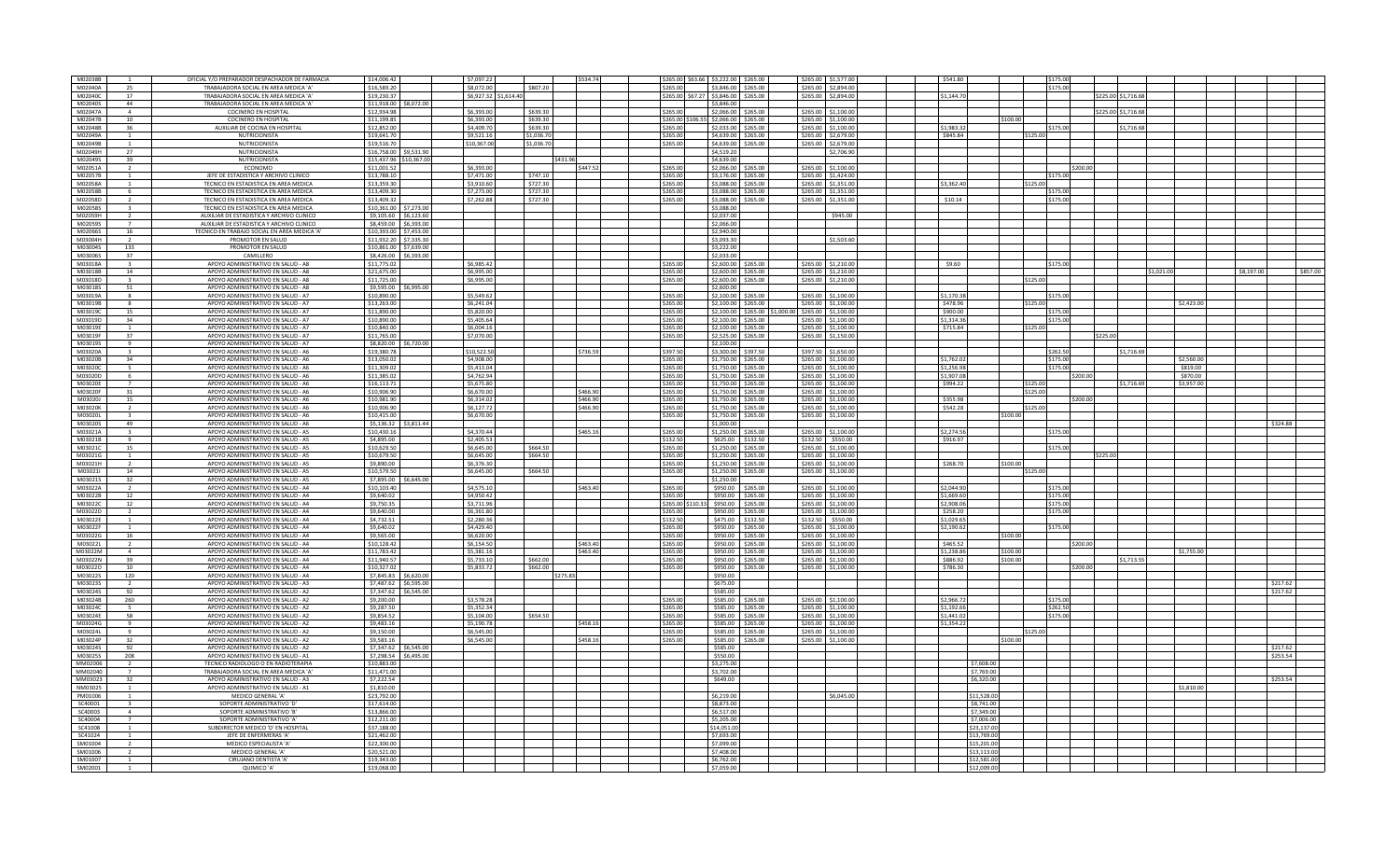| M02038B            |                          | OFICIAL Y/O PREPARADOR DESPACHADOR DE FARMACIA                    | \$14,006.42 | \$7.097.22                                      |            | \$534.74 | \$265.00 \$63.66 \$3,222.00 \$265.00 |                          |                                | \$265.00 \$1.577.00    | \$541.80    |          | \$175.00 |                     |            |            |            |          |
|--------------------|--------------------------|-------------------------------------------------------------------|-------------|-------------------------------------------------|------------|----------|--------------------------------------|--------------------------|--------------------------------|------------------------|-------------|----------|----------|---------------------|------------|------------|------------|----------|
| M02040A            | 25                       | TRABAJADORA SOCIAL EN AREA MEDICA 'A'                             | \$16,589.20 | \$8,072.00                                      | \$807.20   |          | \$265.00                             | \$3,846,00 \$265,00      |                                | \$265.00 \$2,894.00    |             |          | \$175.00 |                     |            |            |            |          |
| M02040C            | 17                       | TRABAJADORA SOCIAL EN AREA MEDICA 'A                              | \$19,230.37 | \$6,927.32 \$1,614.40                           |            |          | \$265,00 \$67.27 \$3,846,00 \$265,00 |                          |                                | \$265.00 \$2,894.00    | \$1.144.70  |          |          | \$225.00 \$1.716.68 |            |            |            |          |
| M02040S            | 44                       | TRABAJADORA SOCIAL EN AREA MEDICA '/                              | \$11,918.00 | \$8,072.00                                      |            |          |                                      | 3,846.00                 |                                |                        |             |          |          |                     |            |            |            |          |
| M02047A            | $\overline{a}$           | <b>COCINERO EN HOSPITAL</b>                                       | \$12,934.98 | \$6,393.00                                      | \$639.30   |          | \$265.00                             |                          | \$2,066.00 \$265.00            | \$265.00 \$1,100.00    |             |          |          | \$225.00 \$1,716.68 |            |            |            |          |
| M02047B            | 10                       | <b>COCINERO EN HOSPITAL</b>                                       | \$11.199.85 | \$6,393.00                                      | \$639.30   |          | \$265,00 \$106.55                    | \$2,066,00               | \$265.00                       | \$265,00 \$1,100,00    |             | \$100.00 |          |                     |            |            |            |          |
| M02048B            | 36                       | AUXILIAR DE COCINA EN HOSPITAL                                    | \$12,852.00 | \$4,409.70                                      | \$639.30   |          | \$265.00                             | \$2,033.00               | \$265.00                       | \$265.00 \$1,100.00    | \$1,983.3   |          | \$175.00 | \$1,716.68          |            |            |            |          |
| M02049A            |                          | NUTRICIONISTA                                                     | \$19,641.70 | \$9,521.16                                      | \$1.036.70 |          | \$265.00                             | \$4,639.00               | \$265.00                       | \$265.00 \$2.679.00    | \$845.84    | \$125.00 |          |                     |            |            |            |          |
| M02049B            |                          | NUTRICIONISTA                                                     | \$19,516.70 | \$10,367.00                                     | \$1,036.70 |          | \$265.00                             | \$4,639.00               | \$265.00                       | \$265.00 \$2,679.00    |             |          |          |                     |            |            |            |          |
| M02049H            | 27                       | <b>NUTRICIONISTA</b>                                              |             | \$16,758.00 \$9,531.90                          |            |          |                                      | \$4,519.20               |                                | \$2,706.90             |             |          |          |                     |            |            |            |          |
| M02049S            | 39                       | <b>NUTRICIONISTA</b>                                              |             | \$15,437.96 \$10,367.00                         |            | \$431.96 |                                      | \$4,639.00               |                                |                        |             |          |          |                     |            |            |            |          |
| M02051A            |                          | ECONOMO                                                           | \$11,001.52 | \$6,393.00                                      |            | \$447.52 | \$265.00                             | \$2,066.00               | \$265.00                       | \$265.00<br>\$1,100.00 |             |          | \$200.00 |                     |            |            |            |          |
| M02057B            |                          | JEFE DE ESTADISTICA Y ARCHIVO CLINICO                             | \$13,788.10 | \$7,471.00                                      | \$747.10   |          | \$265.00                             | \$3,176.00               | \$265.00                       | \$265.00 \$1.424.00    |             |          | \$175.00 |                     |            |            |            |          |
| M02058A            |                          | TECNICO EN ESTADISTICA EN AREA MEDICA                             | \$13,359.30 | \$3,910.60                                      | \$727.30   |          | \$265.00                             | 3,088.00                 | \$265.00                       | \$265.00<br>\$1,351.00 | \$3,362.40  | \$125.00 |          |                     |            |            |            |          |
| M02058B            | -6                       | TECNICO EN ESTADISTICA EN AREA MEDICA                             | \$13,409.30 | \$7,273.00                                      | \$727.30   |          | \$265.00                             | \$3,088,00               | \$265.00                       | \$265.00 \$1.351.00    |             |          | \$175.00 |                     |            |            |            |          |
| M02058D            |                          | TECNICO EN ESTADISTICA EN AREA MEDICA                             | \$13,409.32 | \$7,262.88                                      | \$727.30   |          | \$265.00                             |                          | \$3,088.00 \$265.00            | \$265.00 \$1,351.00    | \$10.14     |          | \$175.00 |                     |            |            |            |          |
| M02058S            |                          | TECNICO EN ESTADISTICA EN AREA MEDICA                             |             | \$10.361.00 \$7.273.00                          |            |          |                                      | \$3,088.00               |                                |                        |             |          |          |                     |            |            |            |          |
| M02059H            |                          | AUXILIAR DE ESTADISTICA Y ARCHIVO CLINICO                         |             | \$9,105.60 \$6,123.60                           |            |          |                                      | \$2,037.00               |                                | \$945.00               |             |          |          |                     |            |            |            |          |
| M02059S<br>M02066S | 16                       | AUXILIAR DE ESTADISTICA Y ARCHIVO CLINICO                         |             | \$8,459.00 \$6,393.00<br>\$10.393.00 \$7.453.00 |            |          |                                      | \$2,066.00<br>\$2,940.00 |                                |                        |             |          |          |                     |            |            |            |          |
| M03004             |                          | TECNICO EN TRABAJO SOCIAL EN AREA MEDICA 'A'<br>PROMOTOR EN SALUD | \$11.932.20 |                                                 |            |          |                                      | \$3.093.30               |                                | 1.503.60               |             |          |          |                     |            |            |            |          |
| M03004S            | 133                      | PROMOTOR EN SALUD                                                 |             | \$7,335.30<br>\$10,861.00 \$7,639.00            |            |          |                                      | \$3,222,00               |                                |                        |             |          |          |                     |            |            |            |          |
| M03006S            | 37                       | CAMILIERO                                                         |             | \$8,426.00 \$6,393.00                           |            |          |                                      | \$2,033.00               |                                |                        |             |          |          |                     |            |            |            |          |
| M03018A            |                          | APOYO ADMINISTRATIVO EN SALUD - A8                                | \$11,775.02 | \$6.985.42                                      |            |          | \$265.00                             | \$2,600.00               | \$265.00                       | \$265.00 \$1,210.00    | \$9.60      |          | \$175.00 |                     |            |            |            |          |
| M03018B            | 14                       | APOYO ADMINISTRATIVO EN SALUD - A8                                | \$21,675.0  | \$6,995.00                                      |            |          | \$265.00                             | \$2,600.00               | \$265.00                       | \$265.00 \$1,210.00    |             |          |          |                     | \$1,021.00 |            | \$8,197,00 | \$857.00 |
| M03018D            |                          | APOYO ADMINISTRATIVO EN SALUD - A8                                | \$11,725.00 |                                                 |            |          | \$265.00                             |                          |                                | \$265.00 \$1,210.00    |             | \$125.00 |          |                     |            |            |            |          |
| M03018S            | 51                       | APOYO ADMINISTRATIVO EN SALUD - AR                                |             | \$6,995.00<br>\$9,595.00 \$6,995.00             |            |          |                                      | \$2,600.00               | \$2,600.00 \$265.00            |                        |             |          |          |                     |            |            |            |          |
| M03019A            |                          | APOYO ADMINISTRATIVO EN SALUD - A7                                | \$10,890.00 | \$5,549.62                                      |            |          | \$265.00                             | \$2,100.00               | \$265.00                       | \$265.00<br>1,100.0    | \$1,170.3   |          | \$175.00 |                     |            |            |            |          |
| M03019B            | $\mathbf{R}$             | APOYO ADMINISTRATIVO EN SALUD - A7                                | \$13,263.00 | \$6,241.04                                      |            |          | \$265.00                             | \$2,100.00               | \$265.00                       | \$265.00 \$1.100.00    | \$478.96    | \$125.00 |          |                     |            | \$2,423.00 |            |          |
| M03019C            | 15                       | APOYO ADMINISTRATIVO EN SALUD - A7                                | \$11,890.00 | \$5,820.00                                      |            |          | \$265.00                             |                          | \$2,100.00 \$265.00 \$1,000.00 | \$265,00 \$1,100.00    | \$900.00    |          | \$175.00 |                     |            |            |            |          |
| M03019D            | 34                       | APOYO ADMINISTRATIVO EN SALUD - A7                                | \$10,890.00 | \$5,405.64                                      |            |          | \$265.00                             | \$2,100.00               | \$265.00                       | \$265.00<br>\$1,100.00 | \$1,314.36  |          | \$175.00 |                     |            |            |            |          |
| M03019E            | $\overline{1}$           | APOYO ADMINISTRATIVO EN SALUD - A7                                | \$10,840.00 | \$6,004.16                                      |            |          | \$265.00                             | \$2,100.00               | \$265.00                       | \$265.00 \$1.100.00    | \$715.84    | \$125.00 |          |                     |            |            |            |          |
| M03019F            | 37                       | APOYO ADMINISTRATIVO EN SALUD - A7                                | \$11,765.00 | \$7,070.00                                      |            |          | \$265.00                             |                          | \$2,525.00 \$265.00            | \$265.00 \$1,150.00    |             |          |          | \$225.00            |            |            |            |          |
| M03019S            | $\alpha$                 | APOYO ADMINISTRATIVO EN SALUD - A7                                |             | \$8,820,00 \$6,720,00                           |            |          |                                      | \$2,100.00               |                                |                        |             |          |          |                     |            |            |            |          |
| M03020A            |                          | APOYO ADMINISTRATIVO EN SALUD - A6                                | \$19,380.78 | \$10,522.50                                     |            | \$736.59 | \$397.50                             | \$3,300.00               | \$397.50                       | \$1,650.00<br>\$397.50 |             |          | \$262.50 | \$1.716.69          |            |            |            |          |
| M03020B            | 34                       | APOYO ADMINISTRATIVO EN SALUD - A6                                | \$13,050.02 | \$4,908.00                                      |            |          | \$265.00                             | \$1,750.00               | \$265.00                       | \$265.00 \$1,100.00    | \$1,762.02  |          | \$175.00 |                     |            | \$2,560.00 |            |          |
| M03020C            |                          | APOYO ADMINISTRATIVO EN SALUD - A6                                | \$11,309.02 | \$5,413.04                                      |            |          | \$265.00                             |                          | \$1,750.00 \$265.00            | \$265.00 \$1,100.00    | \$1,256.98  |          | \$175.00 |                     |            | \$819.00   |            |          |
| M03020D            |                          | APOYO ADMINISTRATIVO EN SALUD - A6                                | \$11,385.02 | \$4,762.94                                      |            |          | \$265.00                             | \$1,750.00               | \$265.00                       | \$265.00 \$1,100.00    | \$1.907.08  |          | \$200.00 |                     |            | \$870.00   |            |          |
| M03020E            |                          | APOYO ADMINISTRATIVO EN SALUD - A6                                | \$16,113.7  | \$5,675.80                                      |            |          | \$265.00                             |                          | \$1,750,00 \$265,00            | \$265.00 \$1,100.00    | \$994.22    | \$125.00 |          | \$1.716.69          |            | \$3,957.00 |            |          |
| M03020F            | 31                       | APOYO ADMINISTRATIVO EN SALUD - A6                                | \$10,906.90 | \$6,670.00                                      |            | \$466.90 | \$265.00                             |                          | \$1,750.00 \$265.00            | \$265.00 \$1,100.00    |             | \$125.00 |          |                     |            |            |            |          |
| M030201            | 15                       | APOYO ADMINISTRATIVO EN SALUD - A6                                | \$10.981.90 | \$6,314.02                                      |            | \$466.90 | \$265.00                             | \$1,750.00               | \$265.00                       | \$265.00 \$1.100.00    | \$355.98    |          | \$200.00 |                     |            |            |            |          |
| M03020K            | $\overline{2}$           | APOYO ADMINISTRATIVO EN SALUD - A6                                | \$10,906.90 | \$6,127.72                                      |            | \$466.90 | \$265.00                             | \$1,750.00               | \$265.00                       | \$265.00 \$1,100.00    | \$542.28    | \$125.00 |          |                     |            |            |            |          |
| M03020L            | $\mathbf{R}$             | APOYO ADMINISTRATIVO EN SALUD - A6                                | \$10,415.00 | \$6,670.00                                      |            |          | \$265.00                             | \$1,750.00               | \$265.00                       | \$265.00 \$1,100.00    |             | \$100,00 |          |                     |            |            |            |          |
| M03020S            | 49                       | APOYO ADMINISTRATIVO EN SALUD - A6                                |             | \$5,136.32 \$3,811.44                           |            |          |                                      | \$1,000.00               |                                |                        |             |          |          |                     |            |            | \$324.88   |          |
| M03021A            |                          | APOYO ADMINISTRATIVO EN SALUD - A5                                | \$10,430.16 | \$4,370.44                                      |            | \$465.16 | \$265.00                             | \$1,250.00               | \$265.00                       | \$265.00<br>\$1,100.00 | \$2,274.56  |          | \$175.00 |                     |            |            |            |          |
| M03021B            | $\mathbf{q}$             | APOYO ADMINISTRATIVO EN SALUD - A5                                | \$4,895.00  | \$2,405.53                                      |            |          | \$132.50                             | \$625.00                 | \$132.50                       | \$132.50<br>\$550.00   | \$916.97    |          |          |                     |            |            |            |          |
| M03021C            | 15                       | APOYO ADMINISTRATIVO EN SALUD - A5                                | \$10,629.50 | \$6,645.00                                      | \$664.50   |          | \$265.00                             | \$1,250.00               | \$265.00                       | \$265.00 \$1,100.0     |             |          | \$175.00 |                     |            |            |            |          |
| M03021G            |                          | APOYO ADMINISTRATIVO EN SALUD - A5                                | \$10,679.50 | \$6,645.00                                      | \$664.50   |          | \$265.00                             | \$1,250.00               | \$265.00                       | \$265.00 \$1.100.00    |             |          |          | \$225.00            |            |            |            |          |
| M03021H            | $\overline{2}$           | APOYO ADMINISTRATIVO EN SALUD - A5                                | \$9,890.00  | \$6,376.30                                      |            |          | \$265.00                             | \$1,250.00               | \$265.00                       | \$265.00 \$1,100.00    | \$268.70    | \$100.00 |          |                     |            |            |            |          |
| M03021             | 14                       | APOYO ADMINISTRATIVO EN SALUD - A5                                | \$10,579.50 | \$6,645.00                                      | \$664.50   |          | \$265.00                             |                          | \$1,250.00 \$265.00            | \$265.00 \$1,100.00    |             | \$125.00 |          |                     |            |            |            |          |
| M03021S            | 32                       | APOYO ADMINISTRATIVO EN SALUD - A5                                |             | \$7,895.00 \$6,645.00                           |            |          |                                      | \$1,250.00               |                                |                        |             |          |          |                     |            |            |            |          |
| M03022A            |                          | APOYO ADMINISTRATIVO EN SALUD - A4                                | \$10,103.40 | \$4,575.10                                      |            | \$463.40 | \$265.00                             | \$950.00                 | \$265.00                       | \$1,100.00<br>\$265.00 | \$2,044.90  |          | \$175.00 |                     |            |            |            |          |
| M03022B            | 12                       | APOYO ADMINISTRATIVO EN SALUD - A4                                | \$9,640.02  | \$4,950.42                                      |            |          | \$265.00                             | \$950.00                 | \$265.00                       | \$265.00 \$1.100.00    | \$1,669.60  |          | \$175.00 |                     |            |            |            |          |
| M030220            | 12                       | APOYO ADMINISTRATIVO EN SALUD - A4                                | \$9,750.35  | \$3,711.96                                      |            |          | \$265.00 \$110.33                    | \$950.00                 | \$265.00                       | \$265.00 \$1,100.00    | \$2,908.06  |          | \$175.00 |                     |            |            |            |          |
| M03022D            |                          | APOYO ADMINISTRATIVO EN SALUD - A4                                | \$9,640.00  | \$6,361.80                                      |            |          | \$265.00                             | \$950.00                 | \$265.00                       | \$265.00 \$1.100.00    | \$258.20    |          | \$175.00 |                     |            |            |            |          |
| M03022E            |                          | APOYO ADMINISTRATIVO EN SALUD - A4                                | \$4,732.51  | \$2,280.36                                      |            |          | \$132.50                             | \$475.00                 | \$132.50                       | \$132.50<br>\$550.00   | \$1,029.65  |          |          |                     |            |            |            |          |
| M03022F            |                          | APOYO ADMINISTRATIVO EN SALUD - A4                                | \$9,640.02  | \$4,429.40                                      |            |          | \$265.00                             | \$950.00                 | \$265.00                       | \$265.00 \$1,100.00    | \$2,190.62  |          | \$175.00 |                     |            |            |            |          |
| M03022G            | 16                       | APOYO ADMINISTRATIVO EN SALUD - A4                                | \$9,565.00  | \$6,620,00                                      |            |          | \$265.00                             |                          | \$950.00 \$265.00              | \$265.00 \$1,100.00    |             | \$100,00 |          |                     |            |            |            |          |
| M03022L            |                          | APOYO ADMINISTRATIVO EN SALUD - A4                                | \$10,128.42 | \$6,154.50                                      |            | \$463.40 | \$265.00                             | \$950.00                 | \$265.00                       | \$265.00 \$1,100.00    | \$465.52    |          | \$200.0  |                     |            |            |            |          |
| M03022M            | $\overline{a}$           | APOYO ADMINISTRATIVO EN SALUD - A4                                | \$11,783.42 | \$5,381.16                                      |            | \$463.40 | \$265.00                             | \$950.00                 | \$265.00                       | \$265.00 \$1,100.00    | \$1,238.86  | \$100.00 |          |                     |            | \$1,755.00 |            |          |
| M03022N            | 39                       | APOYO ADMINISTRATIVO EN SALUD - A4                                | \$11,940.57 | \$5,733.10                                      | \$662.00   |          | \$265.00                             | \$950.00                 | \$265.00                       | \$265.00 \$1,100.00    | \$886.92    | \$100.00 |          | \$1,713.55          |            |            |            |          |
| M03022C            | 10                       | APOYO ADMINISTRATIVO EN SALUD - A4                                | \$10.327.02 | \$5,833.72                                      | \$662.00   |          | \$265.00                             | \$950.00                 | \$265.00                       | \$265.00 \$1,100.0     | \$786.30    |          | \$200.00 |                     |            |            |            |          |
| M03022S            | 120                      | APOYO ADMINISTRATIVO EN SALUD - A4                                | \$7,845.83  | \$6,620,00                                      |            | 275.83   |                                      | \$950.00                 |                                |                        |             |          |          |                     |            |            |            |          |
| M03023S            | 2                        | APOYO ADMINISTRATIVO EN SALUD - A3                                |             | \$7,487.62 \$6,595.00                           |            |          |                                      | \$675.00                 |                                |                        |             |          |          |                     |            |            | \$217.62   |          |
| M03024S            | 92                       | APOYO ADMINISTRATIVO EN SALUD - A2                                |             | \$7,347.62 \$6,545.00                           |            |          |                                      | \$585.00                 |                                |                        |             |          |          |                     |            |            | \$217.62   |          |
| M03024B            | 260                      | APOYO ADMINISTRATIVO EN SALUD - A2                                | \$9,200.00  | \$3,578.28                                      |            |          | \$265.00                             | \$585.00                 | \$265.00                       | \$265.00<br>\$1,100.00 | \$2,966.72  |          | \$175.00 |                     |            |            |            |          |
| M03024C            | $\overline{a}$           | APOYO ADMINISTRATIVO EN SALUD - A2                                | \$9,287.50  | \$5,352.34                                      |            |          | \$265.00                             | \$585.00                 | \$265.00                       | \$265.00 \$1,100.00    | \$1,192.66  |          | \$262.50 |                     |            |            |            |          |
| M03024E            | 58                       | APOYO ADMINISTRATIVO EN SALUD - A2                                | \$9,854.52  | \$5,104.00                                      | \$654.50   |          | \$265.00                             | \$585.00                 | \$265.00                       | \$265.00 \$1,100.00    | \$1,441.02  |          | \$175.00 |                     |            |            |            |          |
| M03024G            | $\mathbf{q}$             | APOYO ADMINISTRATIVO EN SALUD - A2                                | \$9,483.16  | \$5,190.78                                      |            | \$458.16 | \$265.00                             | \$585.00                 | \$265.00                       | \$265.00 \$1.100.00    | \$1,354.22  |          |          |                     |            |            |            |          |
| M03024             |                          | APOYO ADMINISTRATIVO EN SALUD - A2                                | \$9,150.00  | \$6,545.00                                      |            |          | \$265.00                             | \$585.00                 | \$265.00                       | \$265.00<br>\$1,100.0  |             | \$125.0  |          |                     |            |            |            |          |
| M03024P            | 32                       | APOYO ADMINISTRATIVO EN SALUD - A2                                | \$9,583.16  | \$6,545.00                                      |            | \$458.16 | \$265.00                             | \$585.00                 | \$265.00                       | \$265.00 \$1,100.00    |             | \$100.00 |          |                     |            |            |            |          |
| M03024S            | 92                       | APOYO ADMINISTRATIVO EN SALUD - A2                                |             | \$7,347.62 \$6,545.00                           |            |          |                                      | \$585.00                 |                                |                        |             |          |          |                     |            |            | \$217.62   |          |
| M03025S            | 208                      | APOYO ADMINISTRATIVO EN SALUD - A1                                | \$7,298.54  | \$6,495.00                                      |            |          |                                      | \$550.00                 |                                |                        |             |          |          |                     |            |            | \$253.54   |          |
| MM02006            | $\overline{\phantom{a}}$ | TECNICO RADIOI OGO O EN RADIOTERAPIA                              | \$10,883.00 |                                                 |            |          |                                      | \$3,275.00               |                                |                        | \$7,608.00  |          |          |                     |            |            |            |          |
| MM02040            |                          | TRABAJADORA SOCIAL EN AREA MEDICA 'A'                             | \$11,471.00 |                                                 |            |          |                                      | \$3,702.00               |                                |                        | \$7,769.00  |          |          |                     |            |            |            |          |
| MM03023            | 32                       | APOYO ADMINISTRATIVO EN SALUD - A3                                | \$7,222.54  |                                                 |            |          |                                      | \$649.00                 |                                |                        | \$6,320.00  |          |          |                     |            |            | \$253.54   |          |
| NM03025            |                          | APOYO ADMINISTRATIVO EN SALUD - A1                                | \$1,810.00  |                                                 |            |          |                                      |                          |                                |                        |             |          |          |                     |            | \$1,810.00 |            |          |
| PM01006            |                          | MEDICO GENERAL 'A'                                                | \$23,792.00 |                                                 |            |          |                                      | \$6,219.00               |                                | \$6,045.00             | \$11,528.00 |          |          |                     |            |            |            |          |
| SC40001            |                          | SOPORTE ADMINISTRATIVO 'D'                                        | \$17,614.00 |                                                 |            |          |                                      | \$8,873.00               |                                |                        | \$8,741.00  |          |          |                     |            |            |            |          |
| SC40003            |                          | SOPORTE ADMINISTRATIVO 'B                                         | \$13,866.00 |                                                 |            |          |                                      | \$6,517.00               |                                |                        | \$7,349.00  |          |          |                     |            |            |            |          |
| SC40004            |                          | SOPORTE ADMINISTRATIVO 'A                                         | \$12,211.00 |                                                 |            |          |                                      | \$5,205.00               |                                |                        | \$7,006.00  |          |          |                     |            |            |            |          |
| SC41008            |                          | SUBDIRECTOR MEDICO 'D' EN HOSPITAL                                | \$37,188.00 |                                                 |            |          |                                      | \$14.051.0               |                                |                        | \$23,137.00 |          |          |                     |            |            |            |          |
| SC41024            |                          | JEFE DE ENFERMERAS 'A'                                            | \$21,462.00 |                                                 |            |          |                                      | \$7,693.00               |                                |                        | \$13,769.00 |          |          |                     |            |            |            |          |
| SM01004            |                          | MEDICO ESPECIALISTA 'A                                            | \$22,300.00 |                                                 |            |          |                                      | 7,099.00                 |                                |                        | \$15,201.0  |          |          |                     |            |            |            |          |
| SM01006            |                          | MEDICO GENERAL 'A'                                                | \$20,521.00 |                                                 |            |          |                                      | \$7,408.00               |                                |                        | \$13,113.00 |          |          |                     |            |            |            |          |
| SM01007            |                          | CIRUJANO DENTISTA 'A'                                             | \$19,343.00 |                                                 |            |          |                                      | \$6,762.00               |                                |                        | \$12,581.00 |          |          |                     |            |            |            |          |
| SM02001            |                          | QUIMICO 'A'                                                       | \$19,068.0  |                                                 |            |          |                                      | \$7,059.00               |                                |                        | \$12,009.00 |          |          |                     |            |            |            |          |